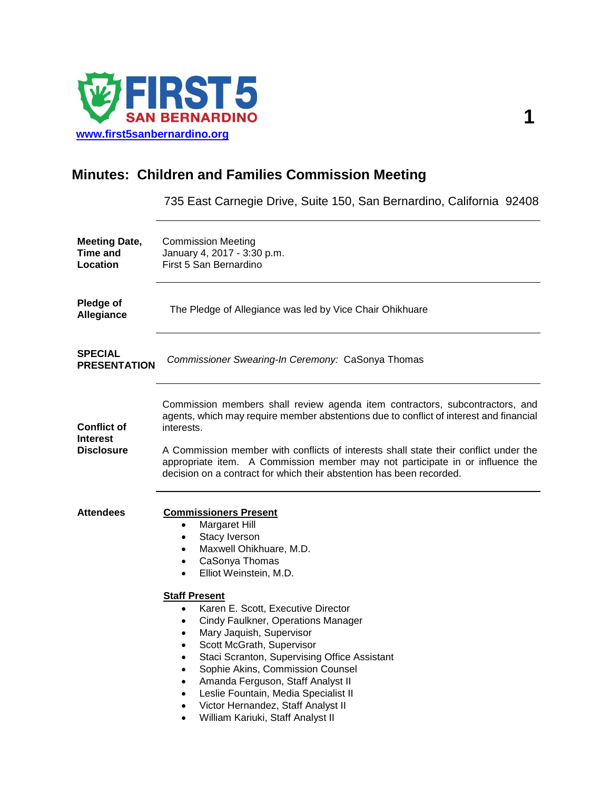

## **Minutes: Children and Families Commission Meeting**

735 East Carnegie Drive, Suite 150, San Bernardino, California 92408

| <b>Meeting Date,</b><br>Time and<br>Location               | <b>Commission Meeting</b><br>January 4, 2017 - 3:30 p.m.<br>First 5 San Bernardino                                                                                                                                                                                                                                                                                                                                                                                                                                                                                                                                                                                                                                                        |
|------------------------------------------------------------|-------------------------------------------------------------------------------------------------------------------------------------------------------------------------------------------------------------------------------------------------------------------------------------------------------------------------------------------------------------------------------------------------------------------------------------------------------------------------------------------------------------------------------------------------------------------------------------------------------------------------------------------------------------------------------------------------------------------------------------------|
| Pledge of<br>Allegiance                                    | The Pledge of Allegiance was led by Vice Chair Ohikhuare                                                                                                                                                                                                                                                                                                                                                                                                                                                                                                                                                                                                                                                                                  |
| <b>SPECIAL</b><br><b>PRESENTATION</b>                      | Commissioner Swearing-In Ceremony: CaSonya Thomas                                                                                                                                                                                                                                                                                                                                                                                                                                                                                                                                                                                                                                                                                         |
| <b>Conflict of</b><br><b>Interest</b><br><b>Disclosure</b> | Commission members shall review agenda item contractors, subcontractors, and<br>agents, which may require member abstentions due to conflict of interest and financial<br>interests.<br>A Commission member with conflicts of interests shall state their conflict under the<br>appropriate item. A Commission member may not participate in or influence the<br>decision on a contract for which their abstention has been recorded.                                                                                                                                                                                                                                                                                                     |
| <b>Attendees</b>                                           | <b>Commissioners Present</b><br>Margaret Hill<br>$\bullet$<br>Stacy Iverson<br>$\bullet$<br>Maxwell Ohikhuare, M.D.<br>$\bullet$<br>CaSonya Thomas<br>$\bullet$<br>Elliot Weinstein, M.D.<br>$\bullet$<br><b>Staff Present</b><br>Karen E. Scott, Executive Director<br>$\bullet$<br>Cindy Faulkner, Operations Manager<br>$\bullet$<br>Mary Jaquish, Supervisor<br>$\bullet$<br>Scott McGrath, Supervisor<br>٠<br>Staci Scranton, Supervising Office Assistant<br>$\bullet$<br>Sophie Akins, Commission Counsel<br>$\bullet$<br>Amanda Ferguson, Staff Analyst II<br>$\bullet$<br>Leslie Fountain, Media Specialist II<br>$\bullet$<br>Victor Hernandez, Staff Analyst II<br>$\bullet$<br>William Kariuki, Staff Analyst II<br>$\bullet$ |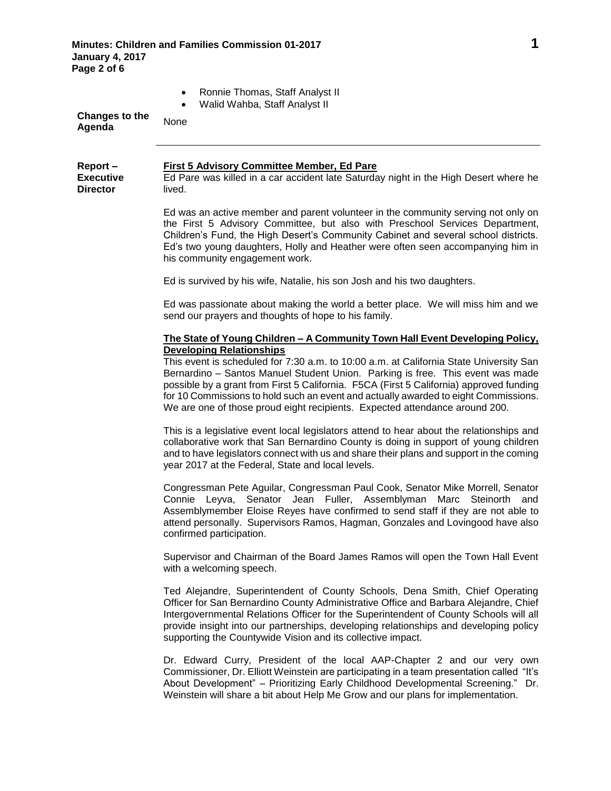| <b>Changes to the</b><br>Agenda                | Ronnie Thomas, Staff Analyst II<br>$\bullet$<br>Walid Wahba, Staff Analyst II<br>None                                                                                                                                                                                                                                                                                                                                                                                        |
|------------------------------------------------|------------------------------------------------------------------------------------------------------------------------------------------------------------------------------------------------------------------------------------------------------------------------------------------------------------------------------------------------------------------------------------------------------------------------------------------------------------------------------|
| Report-<br><b>Executive</b><br><b>Director</b> | <b>First 5 Advisory Committee Member, Ed Pare</b><br>Ed Pare was killed in a car accident late Saturday night in the High Desert where he<br>lived.                                                                                                                                                                                                                                                                                                                          |
|                                                | Ed was an active member and parent volunteer in the community serving not only on<br>the First 5 Advisory Committee, but also with Preschool Services Department,<br>Children's Fund, the High Desert's Community Cabinet and several school districts.<br>Ed's two young daughters, Holly and Heather were often seen accompanying him in<br>his community engagement work.                                                                                                 |
|                                                | Ed is survived by his wife, Natalie, his son Josh and his two daughters.                                                                                                                                                                                                                                                                                                                                                                                                     |
|                                                | Ed was passionate about making the world a better place. We will miss him and we<br>send our prayers and thoughts of hope to his family.                                                                                                                                                                                                                                                                                                                                     |
|                                                | <u> The State of Young Children – A Community Town Hall Event Developing Policy,</u>                                                                                                                                                                                                                                                                                                                                                                                         |
|                                                | <b>Developing Relationships</b><br>This event is scheduled for 7:30 a.m. to 10:00 a.m. at California State University San<br>Bernardino - Santos Manuel Student Union. Parking is free. This event was made<br>possible by a grant from First 5 California. F5CA (First 5 California) approved funding<br>for 10 Commissions to hold such an event and actually awarded to eight Commissions.<br>We are one of those proud eight recipients. Expected attendance around 200. |
|                                                | This is a legislative event local legislators attend to hear about the relationships and<br>collaborative work that San Bernardino County is doing in support of young children<br>and to have legislators connect with us and share their plans and support in the coming<br>year 2017 at the Federal, State and local levels.                                                                                                                                              |
|                                                | Congressman Pete Aguilar, Congressman Paul Cook, Senator Mike Morrell, Senator<br>Connie Leyva, Senator Jean Fuller, Assemblyman Marc Steinorth and<br>Assemblymember Eloise Reyes have confirmed to send staff if they are not able to<br>attend personally. Supervisors Ramos, Hagman, Gonzales and Lovingood have also<br>confirmed participation.                                                                                                                        |
|                                                | Supervisor and Chairman of the Board James Ramos will open the Town Hall Event<br>with a welcoming speech.                                                                                                                                                                                                                                                                                                                                                                   |
|                                                | Ted Alejandre, Superintendent of County Schools, Dena Smith, Chief Operating<br>Officer for San Bernardino County Administrative Office and Barbara Alejandre, Chief<br>Intergovernmental Relations Officer for the Superintendent of County Schools will all<br>provide insight into our partnerships, developing relationships and developing policy<br>supporting the Countywide Vision and its collective impact.                                                        |
|                                                | Dr. Edward Curry, President of the local AAP-Chapter 2 and our very own<br>Commissioner, Dr. Elliott Weinstein are participating in a team presentation called "It's<br>About Development" - Prioritizing Early Childhood Developmental Screening." Dr.<br>Weinstein will share a bit about Help Me Grow and our plans for implementation.                                                                                                                                   |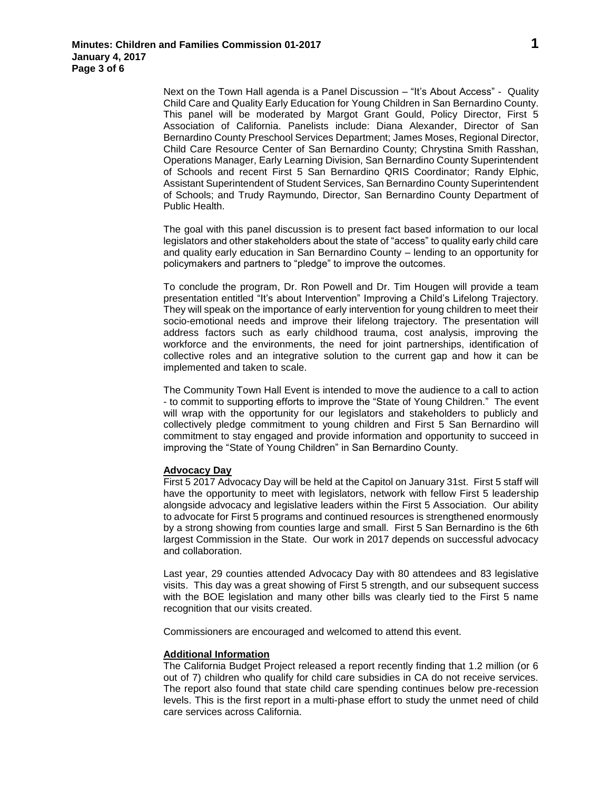Next on the Town Hall agenda is a Panel Discussion – "It's About Access" - Quality Child Care and Quality Early Education for Young Children in San Bernardino County. This panel will be moderated by Margot Grant Gould, Policy Director, First 5 Association of California. Panelists include: Diana Alexander, Director of San Bernardino County Preschool Services Department; James Moses, Regional Director, Child Care Resource Center of San Bernardino County; Chrystina Smith Rasshan, Operations Manager, Early Learning Division, San Bernardino County Superintendent of Schools and recent First 5 San Bernardino QRIS Coordinator; Randy Elphic, Assistant Superintendent of Student Services, San Bernardino County Superintendent of Schools; and Trudy Raymundo, Director, San Bernardino County Department of Public Health.

The goal with this panel discussion is to present fact based information to our local legislators and other stakeholders about the state of "access" to quality early child care and quality early education in San Bernardino County – lending to an opportunity for policymakers and partners to "pledge" to improve the outcomes.

To conclude the program, Dr. Ron Powell and Dr. Tim Hougen will provide a team presentation entitled "It's about Intervention" Improving a Child's Lifelong Trajectory. They will speak on the importance of early intervention for young children to meet their socio-emotional needs and improve their lifelong trajectory. The presentation will address factors such as early childhood trauma, cost analysis, improving the workforce and the environments, the need for joint partnerships, identification of collective roles and an integrative solution to the current gap and how it can be implemented and taken to scale.

The Community Town Hall Event is intended to move the audience to a call to action - to commit to supporting efforts to improve the "State of Young Children." The event will wrap with the opportunity for our legislators and stakeholders to publicly and collectively pledge commitment to young children and First 5 San Bernardino will commitment to stay engaged and provide information and opportunity to succeed in improving the "State of Young Children" in San Bernardino County.

## **Advocacy Day**

First 5 2017 Advocacy Day will be held at the Capitol on January 31st. First 5 staff will have the opportunity to meet with legislators, network with fellow First 5 leadership alongside advocacy and legislative leaders within the First 5 Association. Our ability to advocate for First 5 programs and continued resources is strengthened enormously by a strong showing from counties large and small. First 5 San Bernardino is the 6th largest Commission in the State. Our work in 2017 depends on successful advocacy and collaboration.

Last year, 29 counties attended Advocacy Day with 80 attendees and 83 legislative visits. This day was a great showing of First 5 strength, and our subsequent success with the BOE legislation and many other bills was clearly tied to the First 5 name recognition that our visits created.

Commissioners are encouraged and welcomed to attend this event.

## **Additional Information**

The California Budget Project released a report recently finding that 1.2 million (or 6 out of 7) children who qualify for child care subsidies in CA do not receive services. The report also found that state child care spending continues below pre-recession levels. This is the first report in a multi-phase effort to study the unmet need of child care services across California.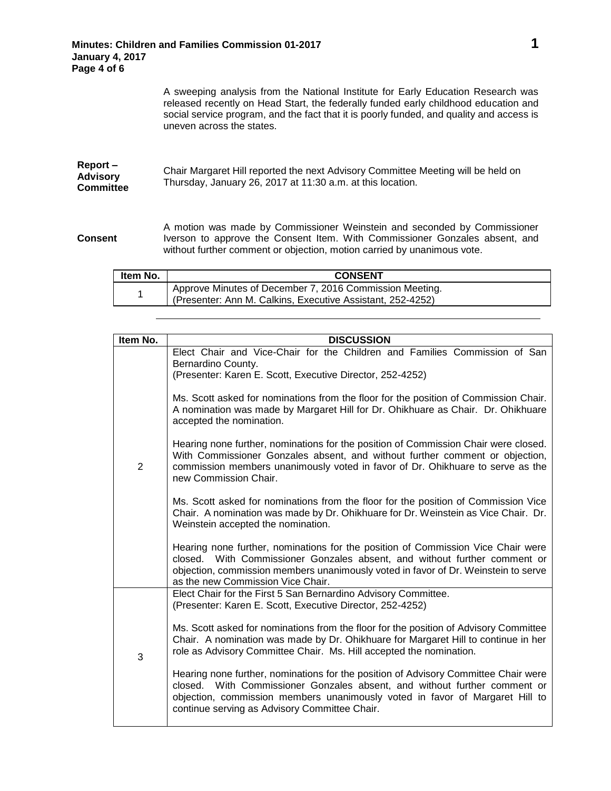A sweeping analysis from the National Institute for Early Education Research was released recently on Head Start, the federally funded early childhood education and social service program, and the fact that it is poorly funded, and quality and access is uneven across the states.

| Chair Margaret Hill reported the next Advisory Committee Meeting will be held on<br>Thursday, January 26, 2017 at 11:30 a.m. at this location. |
|------------------------------------------------------------------------------------------------------------------------------------------------|
|                                                                                                                                                |
|                                                                                                                                                |

**Consent** A motion was made by Commissioner Weinstein and seconded by Commissioner Iverson to approve the Consent Item. With Commissioner Gonzales absent, and without further comment or objection, motion carried by unanimous vote.

| ltem No. | <b>CONSENT</b>                                                                                                        |
|----------|-----------------------------------------------------------------------------------------------------------------------|
|          | Approve Minutes of December 7, 2016 Commission Meeting.<br>(Presenter: Ann M. Calkins, Executive Assistant, 252-4252) |

| Item No. | <b>DISCUSSION</b>                                                                                                                                                                                                                                                                                                                         |
|----------|-------------------------------------------------------------------------------------------------------------------------------------------------------------------------------------------------------------------------------------------------------------------------------------------------------------------------------------------|
| 2        | Elect Chair and Vice-Chair for the Children and Families Commission of San<br>Bernardino County.<br>(Presenter: Karen E. Scott, Executive Director, 252-4252)                                                                                                                                                                             |
|          | Ms. Scott asked for nominations from the floor for the position of Commission Chair.<br>A nomination was made by Margaret Hill for Dr. Ohikhuare as Chair. Dr. Ohikhuare<br>accepted the nomination.                                                                                                                                      |
|          | Hearing none further, nominations for the position of Commission Chair were closed.<br>With Commissioner Gonzales absent, and without further comment or objection,<br>commission members unanimously voted in favor of Dr. Ohikhuare to serve as the<br>new Commission Chair.                                                            |
|          | Ms. Scott asked for nominations from the floor for the position of Commission Vice<br>Chair. A nomination was made by Dr. Ohikhuare for Dr. Weinstein as Vice Chair. Dr.<br>Weinstein accepted the nomination.                                                                                                                            |
|          | Hearing none further, nominations for the position of Commission Vice Chair were<br>closed. With Commissioner Gonzales absent, and without further comment or<br>objection, commission members unanimously voted in favor of Dr. Weinstein to serve<br>as the new Commission Vice Chair.                                                  |
| 3        | Elect Chair for the First 5 San Bernardino Advisory Committee.<br>(Presenter: Karen E. Scott, Executive Director, 252-4252)                                                                                                                                                                                                               |
|          | Ms. Scott asked for nominations from the floor for the position of Advisory Committee<br>Chair. A nomination was made by Dr. Ohikhuare for Margaret Hill to continue in her<br>role as Advisory Committee Chair. Ms. Hill accepted the nomination.<br>Hearing none further, nominations for the position of Advisory Committee Chair were |
|          | closed. With Commissioner Gonzales absent, and without further comment or<br>objection, commission members unanimously voted in favor of Margaret Hill to<br>continue serving as Advisory Committee Chair.                                                                                                                                |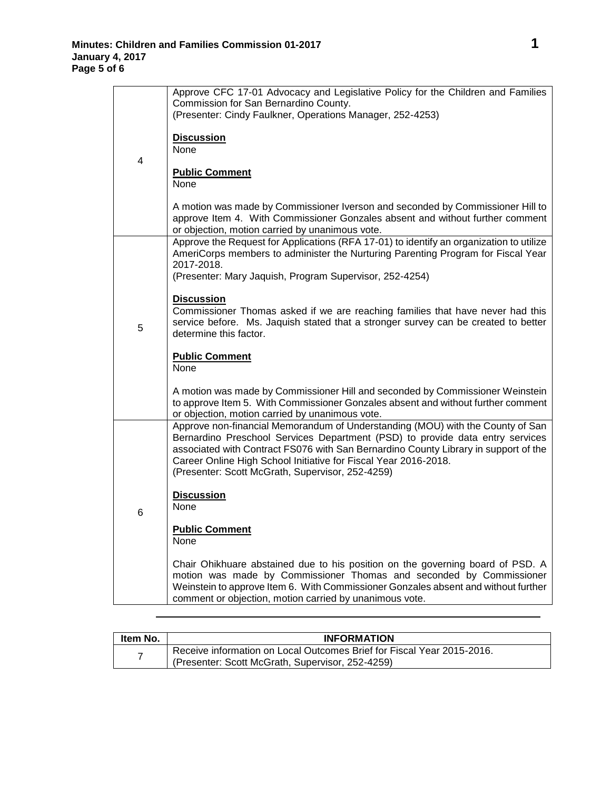|   | Approve CFC 17-01 Advocacy and Legislative Policy for the Children and Families                                                                                      |
|---|----------------------------------------------------------------------------------------------------------------------------------------------------------------------|
|   | Commission for San Bernardino County.<br>(Presenter: Cindy Faulkner, Operations Manager, 252-4253)                                                                   |
|   |                                                                                                                                                                      |
|   | <b>Discussion</b>                                                                                                                                                    |
|   | None                                                                                                                                                                 |
| 4 | <b>Public Comment</b>                                                                                                                                                |
|   | None                                                                                                                                                                 |
|   |                                                                                                                                                                      |
|   | A motion was made by Commissioner Iverson and seconded by Commissioner Hill to<br>approve Item 4. With Commissioner Gonzales absent and without further comment      |
|   | or objection, motion carried by unanimous vote.                                                                                                                      |
|   | Approve the Request for Applications (RFA 17-01) to identify an organization to utilize                                                                              |
|   | AmeriCorps members to administer the Nurturing Parenting Program for Fiscal Year                                                                                     |
|   | 2017-2018.<br>(Presenter: Mary Jaquish, Program Supervisor, 252-4254)                                                                                                |
|   |                                                                                                                                                                      |
|   | <b>Discussion</b>                                                                                                                                                    |
|   | Commissioner Thomas asked if we are reaching families that have never had this<br>service before. Ms. Jaquish stated that a stronger survey can be created to better |
| 5 | determine this factor.                                                                                                                                               |
|   |                                                                                                                                                                      |
|   | <b>Public Comment</b><br>None                                                                                                                                        |
|   |                                                                                                                                                                      |
|   | A motion was made by Commissioner Hill and seconded by Commissioner Weinstein                                                                                        |
|   | to approve Item 5. With Commissioner Gonzales absent and without further comment                                                                                     |
|   | or objection, motion carried by unanimous vote.<br>Approve non-financial Memorandum of Understanding (MOU) with the County of San                                    |
|   | Bernardino Preschool Services Department (PSD) to provide data entry services                                                                                        |
|   | associated with Contract FS076 with San Bernardino County Library in support of the                                                                                  |
|   | Career Online High School Initiative for Fiscal Year 2016-2018.<br>(Presenter: Scott McGrath, Supervisor, 252-4259)                                                  |
|   |                                                                                                                                                                      |
|   | <b>Discussion</b>                                                                                                                                                    |
| 6 | None                                                                                                                                                                 |
|   | <b>Public Comment</b>                                                                                                                                                |
|   | None                                                                                                                                                                 |
|   | Chair Ohikhuare abstained due to his position on the governing board of PSD. A                                                                                       |
|   | motion was made by Commissioner Thomas and seconded by Commissioner                                                                                                  |
|   | Weinstein to approve Item 6. With Commissioner Gonzales absent and without further                                                                                   |
|   | comment or objection, motion carried by unanimous vote.                                                                                                              |

| Item No. | <b>INFORMATION</b>                                                                                                         |
|----------|----------------------------------------------------------------------------------------------------------------------------|
| –        | Receive information on Local Outcomes Brief for Fiscal Year 2015-2016.<br>(Presenter: Scott McGrath, Supervisor, 252-4259) |